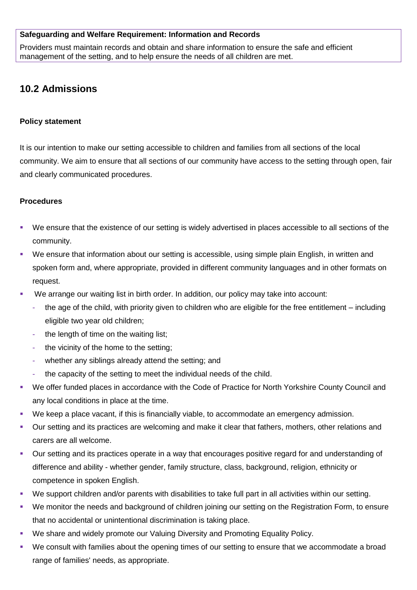#### **Safeguarding and Welfare Requirement: Information and Records**

Providers must maintain records and obtain and share information to ensure the safe and efficient management of the setting, and to help ensure the needs of all children are met.

# **10.2 Admissions**

#### **Policy statement**

It is our intention to make our setting accessible to children and families from all sections of the local community. We aim to ensure that all sections of our community have access to the setting through open, fair and clearly communicated procedures.

### **Procedures**

- We ensure that the existence of our setting is widely advertised in places accessible to all sections of the community.
- We ensure that information about our setting is accessible, using simple plain English, in written and spoken form and, where appropriate, provided in different community languages and in other formats on request.
- We arrange our waiting list in birth order. In addition, our policy may take into account:
	- the age of the child, with priority given to children who are eligible for the free entitlement including eligible two year old children;
	- the length of time on the waiting list;
	- the vicinity of the home to the setting;
	- whether any siblings already attend the setting; and
	- the capacity of the setting to meet the individual needs of the child.
- We offer funded places in accordance with the Code of Practice for North Yorkshire County Council and any local conditions in place at the time.
- We keep a place vacant, if this is financially viable, to accommodate an emergency admission.
- Our setting and its practices are welcoming and make it clear that fathers, mothers, other relations and carers are all welcome.
- Our setting and its practices operate in a way that encourages positive regard for and understanding of difference and ability - whether gender, family structure, class, background, religion, ethnicity or competence in spoken English.
- We support children and/or parents with disabilities to take full part in all activities within our setting.
- We monitor the needs and background of children joining our setting on the Registration Form, to ensure that no accidental or unintentional discrimination is taking place.
- We share and widely promote our Valuing Diversity and Promoting Equality Policy.
- We consult with families about the opening times of our setting to ensure that we accommodate a broad range of families' needs, as appropriate.